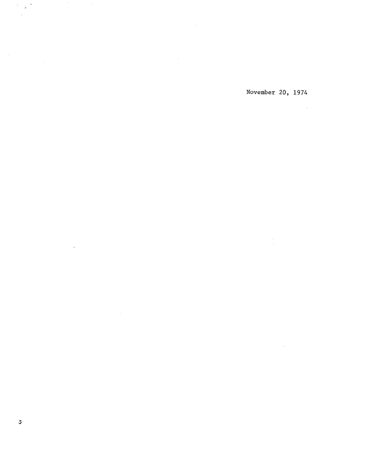November 20, 1974

 $\frac{1}{\sqrt{2}}$ 

 $\mathcal{L}^{\text{max}}_{\text{max}}$  and  $\mathcal{L}^{\text{max}}_{\text{max}}$ 

 $\mathcal{L}^{\text{max}}_{\text{max}}$  and  $\mathcal{L}^{\text{max}}_{\text{max}}$ 

 $\mathcal{L}^{\text{max}}_{\text{max}}$  and  $\mathcal{L}^{\text{max}}_{\text{max}}$ 

 $\label{eq:2.1} \frac{1}{\sqrt{2}}\int_{\mathbb{R}^3}\frac{1}{\sqrt{2}}\left(\frac{1}{\sqrt{2}}\right)^2\frac{1}{\sqrt{2}}\left(\frac{1}{\sqrt{2}}\right)^2\frac{1}{\sqrt{2}}\left(\frac{1}{\sqrt{2}}\right)^2\frac{1}{\sqrt{2}}\left(\frac{1}{\sqrt{2}}\right)^2\frac{1}{\sqrt{2}}\left(\frac{1}{\sqrt{2}}\right)^2\frac{1}{\sqrt{2}}\frac{1}{\sqrt{2}}\frac{1}{\sqrt{2}}\frac{1}{\sqrt{2}}\frac{1}{\sqrt{2}}\frac{1}{\sqrt{2}}$ 

 $\mathcal{F}_{\mathcal{G}}$ 

 $\mathcal{F}^{\mathcal{G}}_{\mathcal{G}}(\mathbf{z})$  $\bar{\mathcal{A}}$ 

 $\mathcal{L}^{\text{max}}_{\text{max}}$ 

 $\label{eq:2.1} \mathcal{L}(\mathcal{A}) = \mathcal{L}(\mathcal{A}) = \mathcal{L}(\mathcal{A})$ 

 $\mathcal{L}^{\text{max}}_{\text{max}}$  and  $\mathcal{L}^{\text{max}}_{\text{max}}$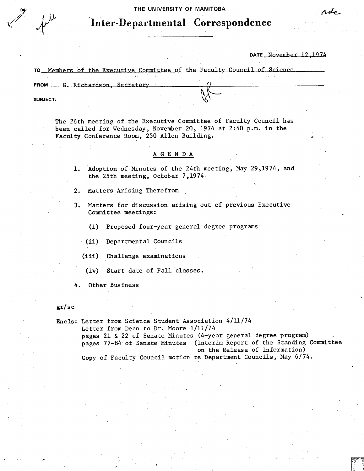**THE UNIVERSITY OF MANITOBA** 

# **Inter-Departmental Correspondence**

**DATE** \_November 12,1974

rdo

|<br>|-<br>|-

TO Members of the Executive Committee of the Faculty Council of Science

FROM G. Richardson, Secretary

**SUBJECT:** 

The 26th meeting of the Executive Committee of Faculty Council has been called for Wednesday, November 20, 1974 at 2:40 p.m. in the Faculty Conference Room, 250 Allen Building.

# A G E N D A.

- 1. Adoption of Minutes of the 24th meeting, May 29,1974, and the 25th meeting, October 7,1974
- 2. Matters Arising Therefrom
- 3. Matters for discussion arising out of previous Executive Committee meetings:

(i) Proposed four-year general degree programs

- (ii) Departmental Councils
- $(iii)$ Challenge examinations
- (iv) Start date of Fall classes.

4. Other Business

#### gr/sc

Encls: Letter from Science Student Association 4/11/74 Letter from Dean to Dr. Moore 1/11/74 pages 21 & 22 of Senate Minutes (4-year general degree program) pages 77-84 of Senate Minutes (Interim Report of the Standing Committee on the Release of Information)

Copy of Faculty Council motion re Department Councils, May 6/74.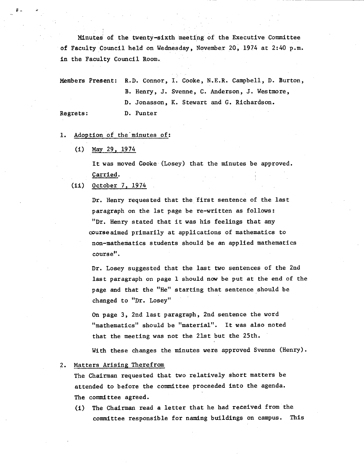Minutes of the twenty-sixth meeting of the Executive Committee of Faculty Council held on Wednesday, November 20, 1974 at 2:40 p.m. in the Faculty Council Room.

Members Present: R.D. Connor, I. Cooke, N.E.R. Campbell, D. Burton, B. Henry, J. Svenne, C. Anderson, J. Westmore, D. Jonasson, K. Stewart and G. Richardson.

#### Regrets: D. Punter

# 1. Adoption of the minutes of:

 $(1)$ May 29, 1974

> It was moved Cooke (Losey) that the minutes be approved. Carried.

 $(ii)$ October 7, 1974

> Dr. Henry requested that the first sentence of the last paragraph on the 1st page be re-written as follows: "Dr. Henry stated that it was his feelings that any course aimed primarily at applications of mathematics to non-mathematics students should be an applied mathematics course".

Dr. Losey suggested that the last two sentences of the 2nd last paragraph on page 1 should now be put at the end of the page and that the "He" starting that sentence should be changed to "Dr. Losey"

On page 3, 2nd last paragraph, 2nd sentence the word "mathematics" should be "material". It was also noted that the meeting was not the 21st but the 25th.

With these changes the minutes were approved Svenne (Henry).

## 2. Matters Arising Therefrom

The Chairman requested that two relatively short matters be attended to before the committee proceeded into the agenda. The committee agreed.

(i) The Chairman read a letter that he had received from the committee responsible for naming buildings on campus. This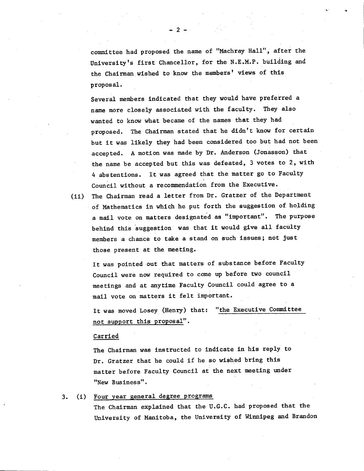committee had proposed the name of "Machray Hall", after the University's first Chancellor, for the N.E.M.P. building and the Chairman wished to know the members' views of this proposal.

Several members indicated that they would have preferred a name more closely associated with the faculty. They also wanted to know what became of the names that they had proposed. The Chairman stated that he didn't know for certain but it was likely they had been considered too but had not been accepted. A motion was made by Dr. Anderson (Jonasson) that the name be accepted but this was defeated, 3 votes to 2, with 4 abstentions. It was agreed that the matter go to Faculty Council without a recommendation from the Executive.

(ii) The Chairman read a letter from Dr. Gratzer of the Department of Mathematics in which he put forth the suggestion of holding a mail vote on matters designated as "important". The purpose behind this suggestion was that it would give all faculty members a chance to take a stand on such issues; not just those present at the meeting.

It was pointed out that matters of substance before Faculty Council were now required to come up before two council meetings and at anytime Faculty Council could agree to a mail vote on matters it felt important.

It was moved Losey (Henry) that: "the Executive Committee not support this proposal".

#### Carried

The Chairman was instructed to indicate in his reply to Dr. Gratzer that he could if he so wished bring this matter before Faculty Council at the next meeting under "New Business".

#### 3. (i) Four year general degree programs

The Chairman explained that the U.G.C. had proposed that the University of Manitoba, the University of Winnipeg and Brandon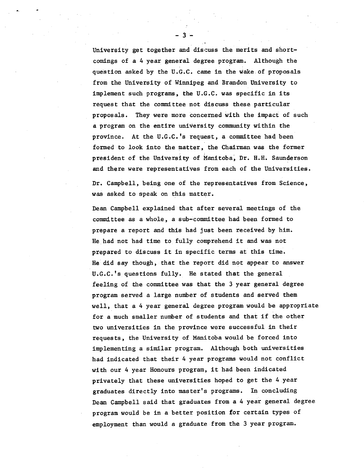University get together and discuss the merits and shortcomings of a 4 year general degree program. Although the question asked by the U.G.C. came in the wake. of proposals from the University of Winnipeg and Brandon University to implement such programs, the U.G.C. was specific in its request that the committee not discuss these particular proposals. They were more concerned with the impact of such a program on the entire university community within the province. At the U.G.C.'s request, a committee had been formed to look into the matter, the Chairman was the former president of the University of Manitoba, Dr. H.H. Saunderson and there were representatives from each of the Universities.

Dr. Campbell, being one of the representatives from Science, was asked to speak on this matter.

Dean Campbell explained that after several meetings of the committee as a whole, a sub-committee had been formed to prepare a report and this had just been received by him. He had not had time to fully comprehend it and was not prepared to discuss it in specific terms at this time. He did say though, that the report did not appear to answer U.C.C.'s questions fully. He stated that the general feeling of the committee was that the 3 year general degree program served a large number of students and served them well, that a 4 year general degree program would be appropriate for a much smaller number of students and that if the other two universities in the province were successful in their requests, the University of Manitoba would be forced into implementing a similar program. Although both universities had indicated that their 4 year programs would not conflict with our 4 year Honours program, it had been indicated privately that these universities hoped to get the 4.year graduates directly into master's programs. In concluding Dean Campbell said that graduates from a 4 year general degree program would be in a better position for certain types of employment than would a graduate from the 3 year program.

-3-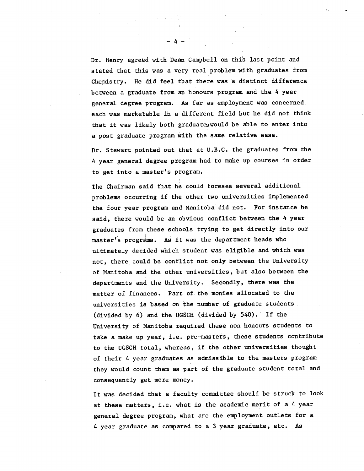Dr. Henry agreed with Dean Campbell on this last point and stated that this was a very real problem with graduates from Chemis try. He did feeL that there was a distinct difference between a graduate from an honours program and the 4 year general degree program. As far as employment was concerned, each was marketable in a different field but he did not think that it was likely both graduates would be able to enter into a post graduate program with the same relative ease.

Dr. Stewart pointed out that at U.B.C. the graduates from the 4 year general degree program had to make up courses in order to get into a master's program.

The Chairman said that he could foresee several additional problems occurring if the other two universities implemented the four year program and Manitoba did not. For instance he said, there would be an obvious conflict between the 4 year graduates from these schools trying to get directly into our master's programs. As it was the department heads who ultimately decided which student was eligible and which was not, there could be conflict not only between the University of Manitoba and the other universities, but also between the departments and the University. Secondly, there was the matter of finances. Part of the monies allocated to the universities is based on the number of graduate students (divided by 6) and the UGSCH (divided by 540). If the University of Manitoba required these non honours students to take a make up year, i.e. pre-masters, these students contribute to the UGSCH total, whereas, if the other universities thought of their 4 year graduates as admissible to the masters program they would count them as part of the graduate student total and consequently get more money.

It was decided that a faculty committee should be struck to look at these matters, i.e. what is the academic merit of a 4 year general degree program, what are the employment outlets for a 4 year graduate as compared to a 3 year graduate, etc. As

 $-4-$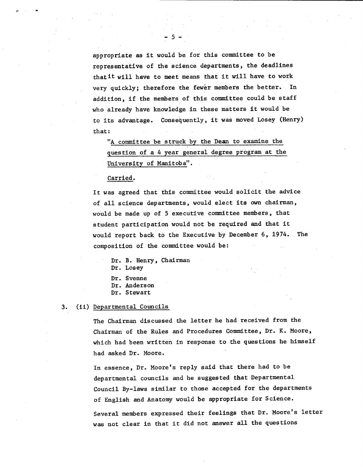appropriate as it would be for this committee to be representative of the science departments, the deadlines that it will have to meet means that it will have to work very quickly; therefore the fewer members the better. In addition, if the members of this committee could be staff who already have knowledge In these matters it would be to its advantage. Consequently, it was moved Losey (Henry) that:

-5-

"A committee be struck by the Dean to examine the question of a 4 year general degree program at the University of Manitoba".

Carried.

It was agreed that this committee would solicit the advice of all science departments, would elect its own chairman, would be made up of 5 executive committee members, that student participation would not be required and that it would report back to the Executive by December 6, 1974. The composition of the committee would be:

Dr. B. Henry, Chairman Dr. Losey Dr. Svenne Dr. Anderson Dr. Stewart

#### 3. (ii) Departmental Councils

The Chairman discussed the letter he had received from the Chairman of the Rules and Procedures Committee, Dr. K. Moore, which had been written in response to the questions he himself had asked Dr. Moore.

In essence, Dr. Moore's reply said that there had to be departmental councils and he suggested that Departmental Council By-laws similar to those accepted for the departments of English and Anatomy would be appropriate for Science.

Several members expressed their feelings that Dr. Moore's letter was not clear in that it did not answer all the questions